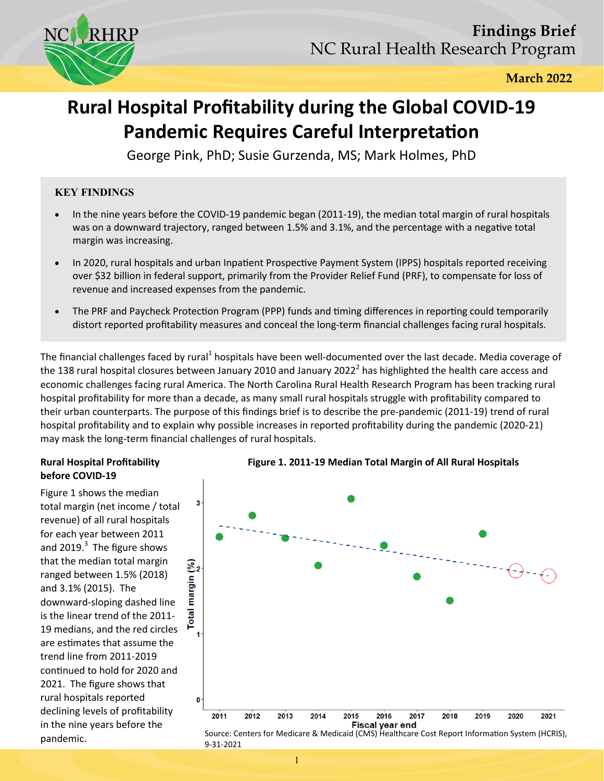

**March 2022** 

# **Rural Hospital Profitability during the Global COVID-19 Pandemic Requires Careful Interpretation**

George Pink, PhD; Susie Gurzenda, MS; Mark Holmes, PhD

# **KEY FINDINGS**

- In the nine years before the COVID-19 pandemic began (2011-19), the median total margin of rural hospitals was on a downward trajectory, ranged between 1.5% and 3.1%, and the percentage with a negative total margin was increasing.
- In 2020, rural hospitals and urban Inpatient Prospective Payment System (IPPS) hospitals reported receiving over \$32 billion in federal support, primarily from the Provider Relief Fund (PRF), to compensate for loss of revenue and increased expenses from the pandemic.
- The PRF and Paycheck Protection Program (PPP) funds and timing differences in reporting could temporarily distort reported profitability measures and conceal the long-term financial challenges facing rural hospitals.

The financial challenges faced by rural<sup>1</sup> hospitals have been well-documented over the last decade. Media coverage of the 138 rural hospital closures between January 2010 and January 2022<sup>2</sup> has highlighted the health care access and economic challenges facing rural America. The North Carolina Rural Health Research Program has been tracking rural hospital profitability for more than a decade, as many small rural hospitals struggle with profitability compared to their urban counterparts. The purpose of this findings brief is to describe the pre-pandemic (2011-19) trend of rural hospital profitability and to explain why possible increases in reported profitability during the pandemic (2020-21) may mask the long-term financial challenges of rural hospitals.

## **Rural Hospital Profitability before COVID-19**

Figure 1 shows the median total margin (net income / total revenue) of all rural hospitals for each year between 2011 and 2019. $3$  The figure shows that the median total margin ranged between 1.5% (2018) and 3.1% (2015). The downward-sloping dashed line is the linear trend of the 2011- 19 medians, and the red circles are estimates that assume the trend line from 2011-2019 continued to hold for 2020 and 2021. The figure shows that rural hospitals reported declining levels of profitability in the nine years before the pandemic.





Source: Centers for Medicare & Medicaid (CMS) Healthcare Cost Report Information System (HCRIS), 9-31-2021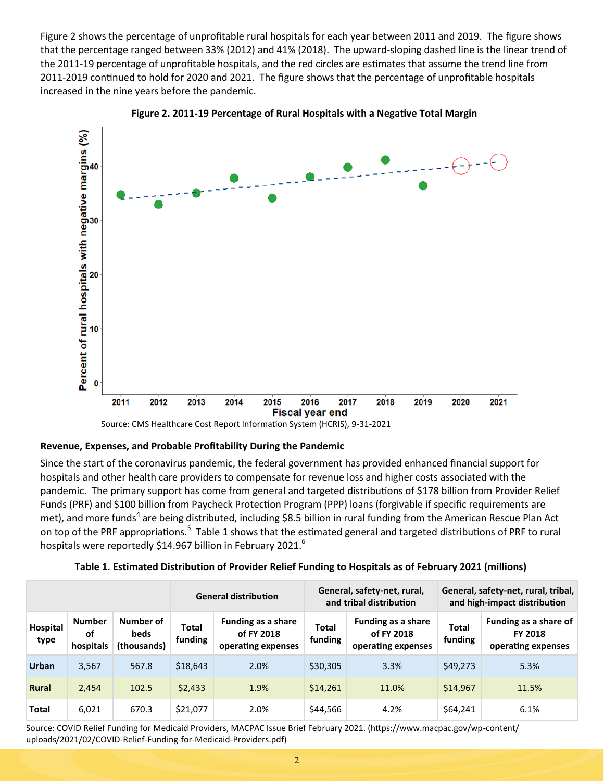Figure 2 shows the percentage of unprofitable rural hospitals for each year between 2011 and 2019. The figure shows that the percentage ranged between 33% (2012) and 41% (2018). The upward-sloping dashed line is the linear trend of the 2011-19 percentage of unprofitable hospitals, and the red circles are estimates that assume the trend line from 2011-2019 continued to hold for 2020 and 2021. The figure shows that the percentage of unprofitable hospitals increased in the nine years before the pandemic.





Source: CMS Healthcare Cost Report Information System (HCRIS), 9-31-2021

#### **Revenue, Expenses, and Probable Profitability During the Pandemic**

Since the start of the coronavirus pandemic, the federal government has provided enhanced financial support for hospitals and other health care providers to compensate for revenue loss and higher costs associated with the pandemic. The primary support has come from general and targeted distributions of \$178 billion from Provider Relief Funds (PRF) and \$100 billion from Paycheck Protection Program (PPP) loans (forgivable if specific requirements are met), and more funds<sup>4</sup> are being distributed, including \$8.5 billion in rural funding from the American Rescue Plan Act on top of the PRF appropriations.<sup>5</sup> Table 1 shows that the estimated general and targeted distributions of PRF to rural hospitals were reportedly \$14.967 billion in February 2021.<sup>6</sup>

|                  |                                  |                                  | <b>General distribution</b> |                                                               | General, safety-net, rural,<br>and tribal distribution |                                                               | General, safety-net, rural, tribal,<br>and high-impact distribution |                                                               |
|------------------|----------------------------------|----------------------------------|-----------------------------|---------------------------------------------------------------|--------------------------------------------------------|---------------------------------------------------------------|---------------------------------------------------------------------|---------------------------------------------------------------|
| Hospital<br>type | <b>Number</b><br>οf<br>hospitals | Number of<br>beds<br>(thousands) | Total<br>funding            | <b>Funding as a share</b><br>of FY 2018<br>operating expenses | Total<br>funding                                       | <b>Funding as a share</b><br>of FY 2018<br>operating expenses | <b>Total</b><br>funding                                             | Funding as a share of<br><b>FY 2018</b><br>operating expenses |
| Urban            | 3,567                            | 567.8                            | \$18,643                    | 2.0%                                                          | \$30,305                                               | 3.3%                                                          | \$49,273                                                            | 5.3%                                                          |
| <b>Rural</b>     | 2,454                            | 102.5                            | \$2,433                     | 1.9%                                                          | \$14,261                                               | 11.0%                                                         | \$14,967                                                            | 11.5%                                                         |
| <b>Total</b>     | 6,021                            | 670.3                            | \$21,077                    | 2.0%                                                          | \$44,566                                               | 4.2%                                                          | \$64,241                                                            | 6.1%                                                          |

**Table 1. Estimated Distribution of Provider Relief Funding to Hospitals as of February 2021 (millions)**

Source: COVID Relief Funding for Medicaid Providers, MACPAC Issue Brief February 2021. (https://www.macpac.gov/wp-content/ uploads/2021/02/COVID-Relief-Funding-for-Medicaid-Providers.pdf)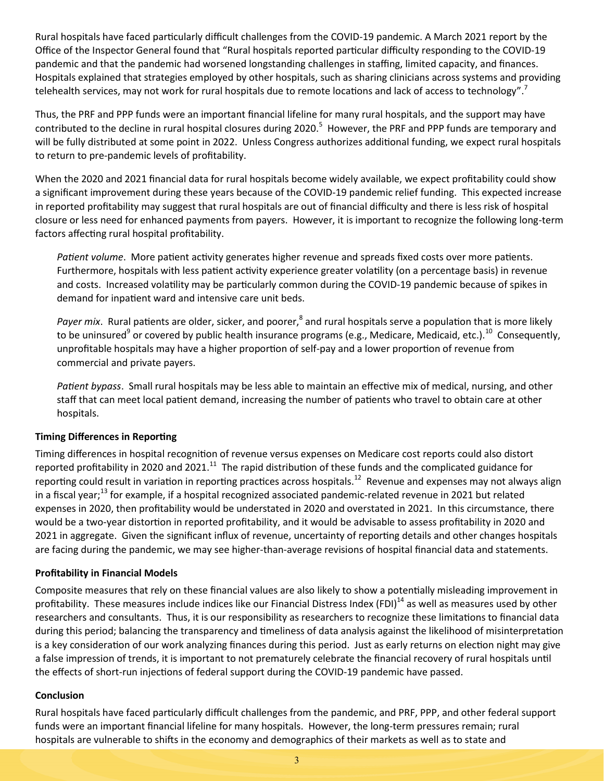Rural hospitals have faced particularly difficult challenges from the COVID-19 pandemic. A March 2021 report by the Office of the Inspector General found that "Rural hospitals reported particular difficulty responding to the COVID-19 pandemic and that the pandemic had worsened longstanding challenges in staffing, limited capacity, and finances. Hospitals explained that strategies employed by other hospitals, such as sharing clinicians across systems and providing telehealth services, may not work for rural hospitals due to remote locations and lack of access to technology".<sup>7</sup>

Thus, the PRF and PPP funds were an important financial lifeline for many rural hospitals, and the support may have contributed to the decline in rural hospital closures during 2020.<sup>5</sup> However, the PRF and PPP funds are temporary and will be fully distributed at some point in 2022. Unless Congress authorizes additional funding, we expect rural hospitals to return to pre-pandemic levels of profitability.

When the 2020 and 2021 financial data for rural hospitals become widely available, we expect profitability could show a significant improvement during these years because of the COVID-19 pandemic relief funding. This expected increase in reported profitability may suggest that rural hospitals are out of financial difficulty and there is less risk of hospital closure or less need for enhanced payments from payers. However, it is important to recognize the following long-term factors affecting rural hospital profitability.

*Patient volume*. More patient activity generates higher revenue and spreads fixed costs over more patients. Furthermore, hospitals with less patient activity experience greater volatility (on a percentage basis) in revenue and costs. Increased volatility may be particularly common during the COVID-19 pandemic because of spikes in demand for inpatient ward and intensive care unit beds.

Payer mix. Rural patients are older, sicker, and poorer,<sup>8</sup> and rural hospitals serve a population that is more likely to be uninsured<sup>9</sup> or covered by public health insurance programs (e.g., Medicare, Medicaid, etc.).<sup>10</sup> Consequently, unprofitable hospitals may have a higher proportion of self-pay and a lower proportion of revenue from commercial and private payers.

*Patient bypass*. Small rural hospitals may be less able to maintain an effective mix of medical, nursing, and other staff that can meet local patient demand, increasing the number of patients who travel to obtain care at other hospitals.

## **Timing Differences in Reporting**

Timing differences in hospital recognition of revenue versus expenses on Medicare cost reports could also distort reported profitability in 2020 and 2021.<sup>11</sup> The rapid distribution of these funds and the complicated guidance for reporting could result in variation in reporting practices across hospitals.<sup>12</sup> Revenue and expenses may not always align in a fiscal year;<sup>13</sup> for example, if a hospital recognized associated pandemic-related revenue in 2021 but related expenses in 2020, then profitability would be understated in 2020 and overstated in 2021. In this circumstance, there would be a two-year distortion in reported profitability, and it would be advisable to assess profitability in 2020 and 2021 in aggregate. Given the significant influx of revenue, uncertainty of reporting details and other changes hospitals are facing during the pandemic, we may see higher-than-average revisions of hospital financial data and statements.

#### **Profitability in Financial Models**

Composite measures that rely on these financial values are also likely to show a potentially misleading improvement in profitability. These measures include indices like our Financial Distress Index (FDI) $^{14}$  as well as measures used by other researchers and consultants. Thus, it is our responsibility as researchers to recognize these limitations to financial data during this period; balancing the transparency and timeliness of data analysis against the likelihood of misinterpretation is a key consideration of our work analyzing finances during this period. Just as early returns on election night may give a false impression of trends, it is important to not prematurely celebrate the financial recovery of rural hospitals until the effects of short-run injections of federal support during the COVID-19 pandemic have passed.

#### **Conclusion**

Rural hospitals have faced particularly difficult challenges from the pandemic, and PRF, PPP, and other federal support funds were an important financial lifeline for many hospitals. However, the long-term pressures remain; rural hospitals are vulnerable to shifts in the economy and demographics of their markets as well as to state and